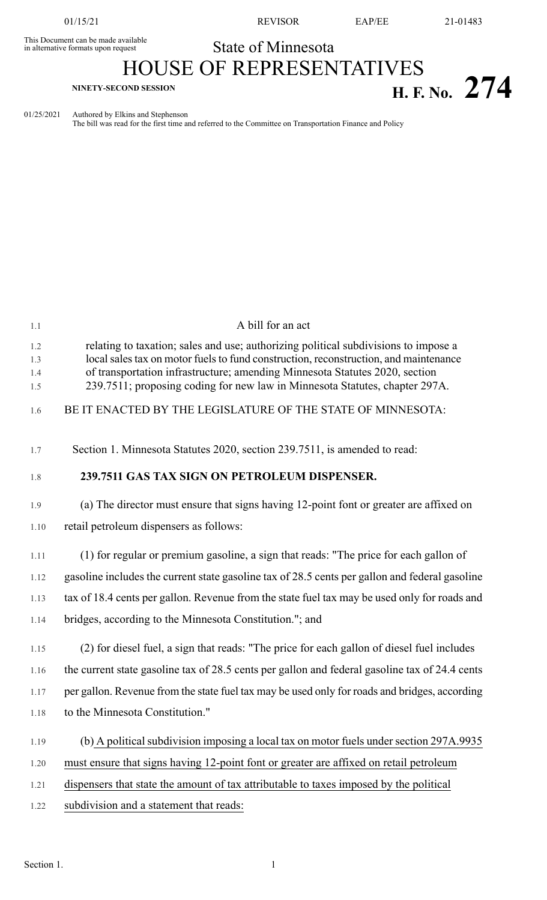This Document can be made available<br>in alternative formats upon request

01/15/21 REVISOR EAP/EE 21-01483

## State of Minnesota

## HOUSE OF REPRESENTATIVES **H. F.** No. 274

01/25/2021 Authored by Elkins and Stephenson

The bill was read for the first time and referred to the Committee on Transportation Finance and Policy

| 1.1                      | A bill for an act                                                                                                                                                                                                                                                                                                                         |
|--------------------------|-------------------------------------------------------------------------------------------------------------------------------------------------------------------------------------------------------------------------------------------------------------------------------------------------------------------------------------------|
| 1.2<br>1.3<br>1.4<br>1.5 | relating to taxation; sales and use; authorizing political subdivisions to impose a<br>local sales tax on motor fuels to fund construction, reconstruction, and maintenance<br>of transportation infrastructure; amending Minnesota Statutes 2020, section<br>239.7511; proposing coding for new law in Minnesota Statutes, chapter 297A. |
| 1.6                      | BE IT ENACTED BY THE LEGISLATURE OF THE STATE OF MINNESOTA:                                                                                                                                                                                                                                                                               |
| 1.7                      | Section 1. Minnesota Statutes 2020, section 239.7511, is amended to read:                                                                                                                                                                                                                                                                 |
| 1.8                      | 239.7511 GAS TAX SIGN ON PETROLEUM DISPENSER.                                                                                                                                                                                                                                                                                             |
| 1.9                      | (a) The director must ensure that signs having 12-point font or greater are affixed on                                                                                                                                                                                                                                                    |
| 1.10                     | retail petroleum dispensers as follows:                                                                                                                                                                                                                                                                                                   |
| 1.11                     | (1) for regular or premium gasoline, a sign that reads: "The price for each gallon of                                                                                                                                                                                                                                                     |
| 1.12                     | gasoline includes the current state gasoline tax of 28.5 cents per gallon and federal gasoline                                                                                                                                                                                                                                            |
| 1.13                     | tax of 18.4 cents per gallon. Revenue from the state fuel tax may be used only for roads and                                                                                                                                                                                                                                              |
| 1.14                     | bridges, according to the Minnesota Constitution."; and                                                                                                                                                                                                                                                                                   |
| 1.15                     | (2) for diesel fuel, a sign that reads: "The price for each gallon of diesel fuel includes                                                                                                                                                                                                                                                |
| 1.16                     | the current state gasoline tax of 28.5 cents per gallon and federal gasoline tax of 24.4 cents                                                                                                                                                                                                                                            |
| 1.17                     | per gallon. Revenue from the state fuel tax may be used only for roads and bridges, according                                                                                                                                                                                                                                             |
| 1.18                     | to the Minnesota Constitution."                                                                                                                                                                                                                                                                                                           |
| 1.19                     | (b) A political subdivision imposing a local tax on motor fuels under section 297A.9935                                                                                                                                                                                                                                                   |
| 1.20                     | must ensure that signs having 12-point font or greater are affixed on retail petroleum                                                                                                                                                                                                                                                    |
| 1.21                     | dispensers that state the amount of tax attributable to taxes imposed by the political                                                                                                                                                                                                                                                    |
| 1.22                     | subdivision and a statement that reads:                                                                                                                                                                                                                                                                                                   |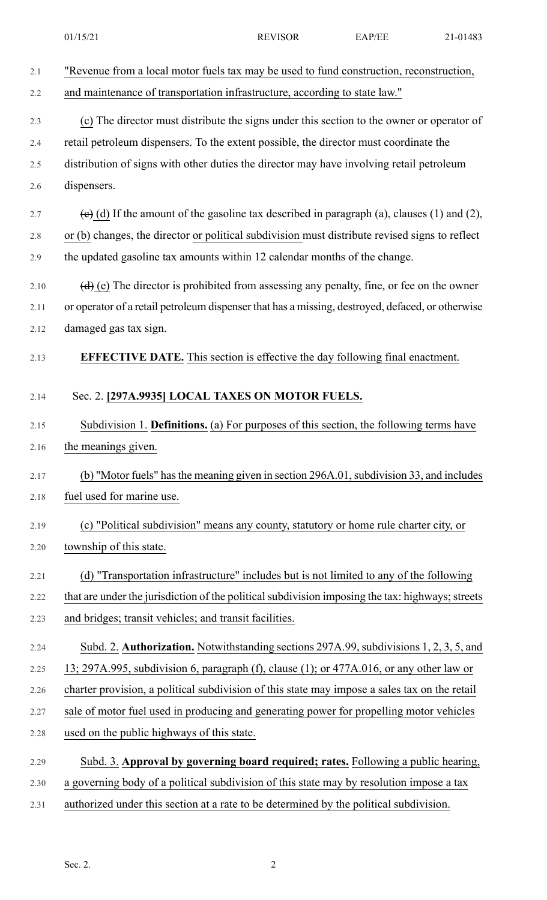|      | 01/15/21                                                                                              | <b>REVISOR</b> | EAP/EE | 21-01483 |
|------|-------------------------------------------------------------------------------------------------------|----------------|--------|----------|
| 2.1  | "Revenue from a local motor fuels tax may be used to fund construction, reconstruction,               |                |        |          |
| 2.2  | and maintenance of transportation infrastructure, according to state law."                            |                |        |          |
| 2.3  | (c) The director must distribute the signs under this section to the owner or operator of             |                |        |          |
| 2.4  | retail petroleum dispensers. To the extent possible, the director must coordinate the                 |                |        |          |
| 2.5  | distribution of signs with other duties the director may have involving retail petroleum              |                |        |          |
| 2.6  | dispensers.                                                                                           |                |        |          |
| 2.7  | $\overline{e}$ (d) If the amount of the gasoline tax described in paragraph (a), clauses (1) and (2), |                |        |          |
| 2.8  | or (b) changes, the director or political subdivision must distribute revised signs to reflect        |                |        |          |
| 2.9  | the updated gasoline tax amounts within 12 calendar months of the change.                             |                |        |          |
| 2.10 | $(d)$ (e) The director is prohibited from assessing any penalty, fine, or fee on the owner            |                |        |          |
| 2.11 | or operator of a retail petroleum dispenser that has a missing, destroyed, defaced, or otherwise      |                |        |          |
| 2.12 | damaged gas tax sign.                                                                                 |                |        |          |
| 2.13 | <b>EFFECTIVE DATE.</b> This section is effective the day following final enactment.                   |                |        |          |
| 2.14 | Sec. 2. [297A.9935] LOCAL TAXES ON MOTOR FUELS.                                                       |                |        |          |
| 2.15 | Subdivision 1. Definitions. (a) For purposes of this section, the following terms have                |                |        |          |
| 2.16 | the meanings given.                                                                                   |                |        |          |
| 2.17 | (b) "Motor fuels" has the meaning given in section 296A.01, subdivision 33, and includes              |                |        |          |
| 2.18 | fuel used for marine use.                                                                             |                |        |          |
| 2.19 | (c) "Political subdivision" means any county, statutory or home rule charter city, or                 |                |        |          |
| 2.20 | township of this state.                                                                               |                |        |          |
| 2.21 | (d) "Transportation infrastructure" includes but is not limited to any of the following               |                |        |          |
| 2.22 | that are under the jurisdiction of the political subdivision imposing the tax: highways; streets      |                |        |          |
| 2.23 | and bridges; transit vehicles; and transit facilities.                                                |                |        |          |
| 2.24 | Subd. 2. Authorization. Notwithstanding sections 297A.99, subdivisions 1, 2, 3, 5, and                |                |        |          |
| 2.25 | 13; 297A.995, subdivision 6, paragraph (f), clause (1); or 477A.016, or any other law or              |                |        |          |
| 2.26 | charter provision, a political subdivision of this state may impose a sales tax on the retail         |                |        |          |
| 2.27 | sale of motor fuel used in producing and generating power for propelling motor vehicles               |                |        |          |
| 2.28 | used on the public highways of this state.                                                            |                |        |          |
| 2.29 | Subd. 3. Approval by governing board required; rates. Following a public hearing,                     |                |        |          |
| 2.30 | a governing body of a political subdivision of this state may by resolution impose a tax              |                |        |          |
| 2.31 | authorized under this section at a rate to be determined by the political subdivision.                |                |        |          |